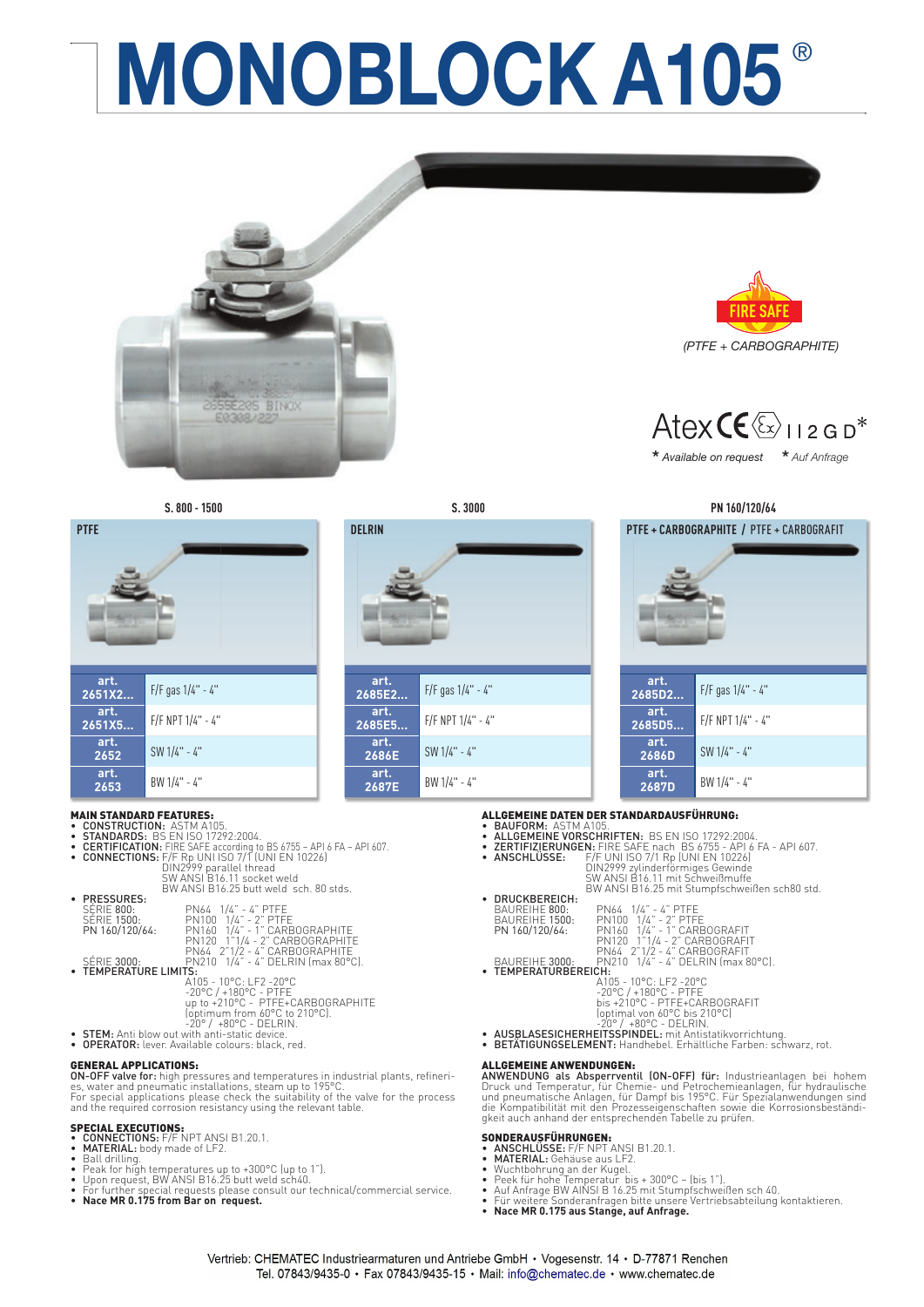# **MONOBLOCK A105**







| MAIN STANDARD FEATURES:    |                                                                       |
|----------------------------|-----------------------------------------------------------------------|
| • CONSTRUCTION: ASTM A105. |                                                                       |
|                            | • STANDARDS: BS EN ISO 17292:2004.                                    |
|                            | • CERTIFICATION: FIRE SAFE according to BS 6755 - API 6 FA - API 607. |
|                            | • CONNECTIONS: F/F Rp UNI ISO 7/1 (UNI EN 10226)                      |
|                            | DIN2999 parallel thread                                               |
|                            | SW ANSI B16.11 socket weld                                            |
|                            | BW ANSLB16.25 butt weld sch. 80 stds.                                 |
| • PRESSURES:               |                                                                       |
| SÉRIE 800:                 | PN64 1/4" - 4" PTFE                                                   |
| SÉRIE 1500:                |                                                                       |
| PN 160/120/64:             | PN100 1/4" - 2" PTFE<br>PN160 1/4" - 1" CARBOGRAPHITE                 |
|                            |                                                                       |
|                            | PN120 1"1/4 - 2" CARBOGRAPHITE                                        |
|                            | PN64 2"1/2 - 4" CARBOGRAPHITE                                         |
| SÉRIE 3000:                | PN210 1/4" - 4" DELRIN (max 80°C).                                    |
| • TEMPERATURE LIMITS:      |                                                                       |
|                            | $A105 - 10^{\circ}$ C: I F2 -20°C                                     |
|                            | $-20^{\circ}$ C / $+180^{\circ}$ C - PTFE                             |
|                            | up to +210°C - PTFE+CARBOGRAPHITE<br>(optimum from 60°C to 210°C).    |
|                            |                                                                       |
|                            | $-20^{\circ}$ / $+80^{\circ}$ C - DELRIN.                             |
|                            |                                                                       |

- 
- **OPERATOR:** lever. Available colours: black, red.

### GENERAL APPLICATIONS:

**ON-OFF valve for:** high pressures and temperatures in industrial plants, refineri-<br>es, water and pneumatic installations, steam up to 195°C.<br>For special applications please check the suitability of the valve for the proce and the required corrosion resistancy using the relevant table.

- SPECIAL EXECUTIONS: CONNECTIONS: F/F NPT ANSI B1.20.1. MATERIAL: body made of LF2.
- Ball drilling.
- 
- 
- Peak for high temperatures up to +300°C (up to 1").<br>• Upon request, BW ANSI B16.25 butt weld sch40.<br>• For further special requests please consult our technical/commercial service.<br>• **Nace MR 0.175 from Bar on request.**





**\*** *Available on request* **\*** *Auf Anfrage* 



- 
- 
- **ALLGEMEINE DATEN DER STANDARDAUSFÜHRUNG:<br>• BAUFORM: ASTM A105.<br>• ALLGEMEINE VORSCHRIFTEN: BS EN ISO 17292:2004.<br>• ZERTIFIZIERUNGEN: FIRE SAFE nach BS 6755 API 6 FA API 607.<br>• ANSCHLÜSSE: F/F UNI ISO 7/1 Rp (UNI EN 102**
- 
- -
- 
- DRUCKBEREICH:<br>
BAUREIHE 800: PN100 1/4" 4" PTFE<br>
PN 160/120/64: PN100 1/4" 2" PTFE<br>
PN 160/120/64: PN100 1/4" 1" CARBOGRAFIT<br>
PN40 1"1/4 2" CARBOGRAFIT<br>
PN40 1"1/4 4" CARBOGRAFIT<br>
BAUREIHE 3000: PN210 1/4" 4
- 
- -
- 

## ALLGEMEINE ANWENDUNGEN:

ANWENDUNG als Absperrventil (ON-OFF) für: Industrieanlagen bei hohem Druck und Temperatur, für Chemie- und Petrochemieanlagen, für hydraulische<br>und pneumatische Anlagen, für Dampf bis 195°C. Für Spezialanwendungen sind<br>die Kompatibilität mit den Prozesseigenschaften sowie die Korrosionsbest gkeit auch anhand der entsprechenden Tabelle zu prüfen.

- SONDERAUSFÜHRUNGEN:<br>• ANSCHLÜSSE: F/F NPT ANSI B1.20.1.<br>• MATERIAL: Gehäuse aus LF2.
- 
- 
- 
- Wuchtbohrung an der Kugel.<br>• Peek für hohe Temperatur bis + 300°C (bis 1″).<br>• Auf Anfrage BW AINSI B 16.25 mit Stumpfschweißen sch 40.<br>• Für weitere Sonderanfragen bitte unsere Vertriebsabteilung kontaktieren.<br>• **Nace**
- 



**2685E2...** F/F gas 1/4" - 4"

**2685E5...** F/F NPT 1/4" - 4"

**2687E** BW 1/4" - 4"

.art<br>.2685E2

art.<br>.2685E5

**art.**

**art.**

**2686E** SW 1/4" - 4"